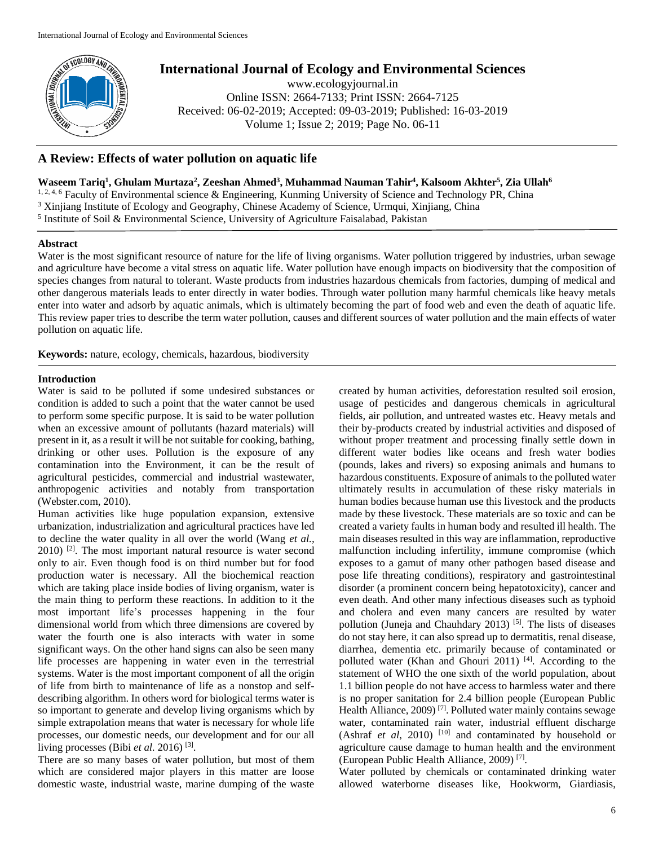

# **International Journal of Ecology and Environmental Sciences**

www.ecologyjournal.in Online ISSN: 2664-7133; Print ISSN: 2664-7125 Received: 06-02-2019; Accepted: 09-03-2019; Published: 16-03-2019 Volume 1; Issue 2; 2019; Page No. 06-11

## **A Review: Effects of water pollution on aquatic life**

**Waseem Tariq<sup>1</sup> , Ghulam Murtaza<sup>2</sup> , Zeeshan Ahmed<sup>3</sup> , Muhammad Nauman Tahir<sup>4</sup> , Kalsoom Akhter<sup>5</sup> , Zia Ullah<sup>6</sup>**

<sup>1, 2, 4, 6</sup> Faculty of Environmental science & Engineering, Kunming University of Science and Technology PR, China <sup>3</sup> Xinjiang Institute of Ecology and Geography, Chinese Academy of Science, Urmqui, Xinjiang, China

<sup>5</sup> Institute of Soil & Environmental Science, University of Agriculture Faisalabad, Pakistan

## **Abstract**

Water is the most significant resource of nature for the life of living organisms. Water pollution triggered by industries, urban sewage and agriculture have become a vital stress on aquatic life. Water pollution have enough impacts on biodiversity that the composition of species changes from natural to tolerant. Waste products from industries hazardous chemicals from factories, dumping of medical and other dangerous materials leads to enter directly in water bodies. Through water pollution many harmful chemicals like heavy metals enter into water and adsorb by aquatic animals, which is ultimately becoming the part of food web and even the death of aquatic life. This review paper tries to describe the term water pollution, causes and different sources of water pollution and the main effects of water pollution on aquatic life.

**Keywords:** nature, ecology, chemicals, hazardous, biodiversity

## **Introduction**

Water is said to be polluted if some undesired substances or condition is added to such a point that the water cannot be used to perform some specific purpose. It is said to be water pollution when an excessive amount of pollutants (hazard materials) will present in it, as a result it will be not suitable for cooking, bathing, drinking or other uses. Pollution is the exposure of any contamination into the Environment, it can be the result of agricultural pesticides, commercial and industrial wastewater, anthropogenic activities and notably from transportation (Webster.com, 2010).

Human activities like huge population expansion, extensive urbanization, industrialization and agricultural practices have led to decline the water quality in all over the world (Wang *et al.,* 2010) [2] . The most important natural resource is water second only to air. Even though food is on third number but for food production water is necessary. All the biochemical reaction which are taking place inside bodies of living organism, water is the main thing to perform these reactions. In addition to it the most important life's processes happening in the four dimensional world from which three dimensions are covered by water the fourth one is also interacts with water in some significant ways. On the other hand signs can also be seen many life processes are happening in water even in the terrestrial systems. Water is the most important component of all the origin of life from birth to maintenance of life as a nonstop and selfdescribing algorithm. In others word for biological terms water is so important to generate and develop living organisms which by simple extrapolation means that water is necessary for whole life processes, our domestic needs, our development and for our all living processes (Bibi *et al.* 2016)<sup>[3]</sup>.

There are so many bases of water pollution, but most of them which are considered major players in this matter are loose domestic waste, industrial waste, marine dumping of the waste

created by human activities, deforestation resulted soil erosion, usage of pesticides and dangerous chemicals in agricultural fields, air pollution, and untreated wastes etc. Heavy metals and their by-products created by industrial activities and disposed of without proper treatment and processing finally settle down in different water bodies like oceans and fresh water bodies (pounds, lakes and rivers) so exposing animals and humans to hazardous constituents. Exposure of animals to the polluted water ultimately results in accumulation of these risky materials in human bodies because human use this livestock and the products made by these livestock. These materials are so toxic and can be created a variety faults in human body and resulted ill health. The main diseases resulted in this way are inflammation, reproductive malfunction including infertility, immune compromise (which exposes to a gamut of many other pathogen based disease and pose life threating conditions), respiratory and gastrointestinal disorder (a prominent concern being hepatotoxicity), cancer and even death. And other many infectious diseases such as typhoid and cholera and even many cancers are resulted by water pollution (Juneja and Chauhdary 2013)<sup>[5]</sup>. The lists of diseases do not stay here, it can also spread up to dermatitis, renal disease, diarrhea, dementia etc. primarily because of contaminated or polluted water (Khan and Ghouri 2011)<sup>[4]</sup>. According to the statement of WHO the one sixth of the world population, about 1.1 billion people do not have access to harmless water and there is no proper sanitation for 2.4 billion people (European Public Health Alliance,  $2009$ <sup>[7]</sup>. Polluted water mainly contains sewage water, contaminated rain water, industrial effluent discharge (Ashraf *et al*, 2010)<sup>[10]</sup> and contaminated by household or agriculture cause damage to human health and the environment (European Public Health Alliance, 2009) [7] .

Water polluted by chemicals or contaminated drinking water allowed waterborne diseases like, Hookworm, Giardiasis,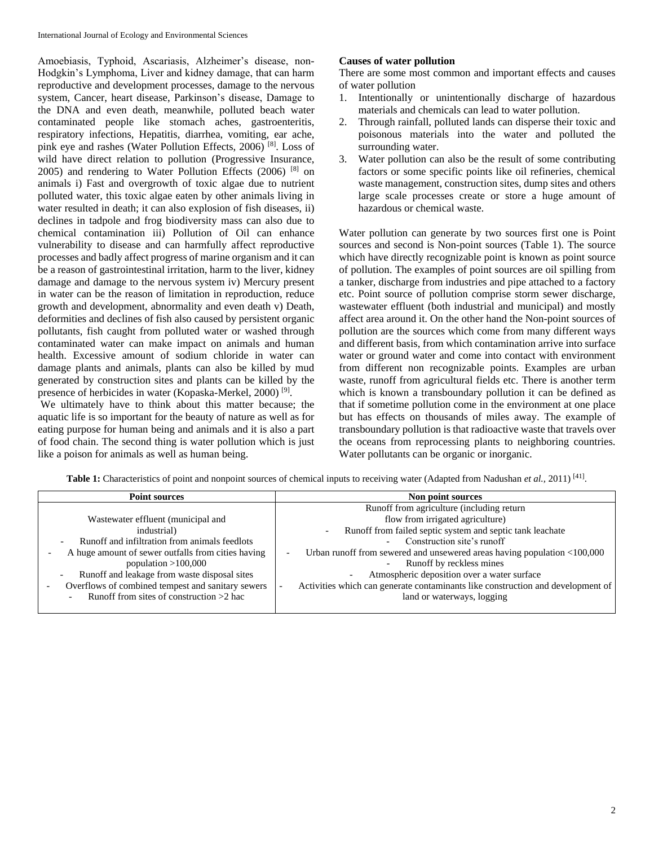Amoebiasis, Typhoid, Ascariasis, Alzheimer's disease, non-Hodgkin's Lymphoma, Liver and kidney damage, that can harm reproductive and development processes, damage to the nervous system, Cancer, heart disease, Parkinson's disease, Damage to the DNA and even death, meanwhile, polluted beach water contaminated people like stomach aches, gastroenteritis, respiratory infections, Hepatitis, diarrhea, vomiting, ear ache, pink eye and rashes (Water Pollution Effects, 2006)<sup>[8]</sup>. Loss of wild have direct relation to pollution (Progressive Insurance, 2005) and rendering to Water Pollution Effects (2006) [8] on animals i) Fast and overgrowth of toxic algae due to nutrient polluted water, this toxic algae eaten by other animals living in water resulted in death; it can also explosion of fish diseases, ii) declines in tadpole and frog biodiversity mass can also due to chemical contamination iii) Pollution of Oil can enhance vulnerability to disease and can harmfully affect reproductive processes and badly affect progress of marine organism and it can be a reason of gastrointestinal irritation, harm to the liver, kidney damage and damage to the nervous system iv) Mercury present in water can be the reason of limitation in reproduction, reduce growth and development, abnormality and even death v) Death, deformities and declines of fish also caused by persistent organic pollutants, fish caught from polluted water or washed through contaminated water can make impact on animals and human health. Excessive amount of sodium chloride in water can damage plants and animals, plants can also be killed by mud generated by construction sites and plants can be killed by the presence of herbicides in water (Kopaska-Merkel, 2000)<sup>[9]</sup>.

We ultimately have to think about this matter because; the aquatic life is so important for the beauty of nature as well as for eating purpose for human being and animals and it is also a part of food chain. The second thing is water pollution which is just like a poison for animals as well as human being.

## **Causes of water pollution**

There are some most common and important effects and causes of water pollution

- 1. Intentionally or unintentionally discharge of hazardous materials and chemicals can lead to water pollution.
- 2. Through rainfall, polluted lands can disperse their toxic and poisonous materials into the water and polluted the surrounding water.
- 3. Water pollution can also be the result of some contributing factors or some specific points like oil refineries, chemical waste management, construction sites, dump sites and others large scale processes create or store a huge amount of hazardous or chemical waste.

Water pollution can generate by two sources first one is Point sources and second is Non-point sources (Table 1). The source which have directly recognizable point is known as point source of pollution. The examples of point sources are oil spilling from a tanker, discharge from industries and pipe attached to a factory etc. Point source of pollution comprise storm sewer discharge, wastewater effluent (both industrial and municipal) and mostly affect area around it. On the other hand the Non-point sources of pollution are the sources which come from many different ways and different basis, from which contamination arrive into surface water or ground water and come into contact with environment from different non recognizable points. Examples are urban waste, runoff from agricultural fields etc. There is another term which is known a transboundary pollution it can be defined as that if sometime pollution come in the environment at one place but has effects on thousands of miles away. The example of transboundary pollution is that radioactive waste that travels over the oceans from reprocessing plants to neighboring countries. Water pollutants can be organic or inorganic.

Table 1: Characteristics of point and nonpoint sources of chemical inputs to receiving water (Adapted from Nadushan *et al.*, 2011)<sup>[41]</sup>.

| <b>Point sources</b>                                                      | Non point sources                                                                     |  |  |
|---------------------------------------------------------------------------|---------------------------------------------------------------------------------------|--|--|
|                                                                           | Runoff from agriculture (including return                                             |  |  |
| Wastewater effluent (municipal and                                        | flow from irrigated agriculture)                                                      |  |  |
| industrial)                                                               | Runoff from failed septic system and septic tank leachate<br>$\overline{\phantom{0}}$ |  |  |
| Runoff and infiltration from animals feedlots<br>$\overline{\phantom{0}}$ | Construction site's runoff                                                            |  |  |
| A huge amount of sewer outfalls from cities having                        | Urban runoff from sewered and unsewered areas having population <100,000              |  |  |
| population $>100,000$                                                     | Runoff by reckless mines<br>$\overline{\phantom{0}}$                                  |  |  |
| Runoff and leakage from waste disposal sites                              | Atmospheric deposition over a water surface                                           |  |  |
| Overflows of combined tempest and sanitary sewers                         | Activities which can generate contaminants like construction and development of       |  |  |
| Runoff from sites of construction $>2$ hac<br>$\overline{\phantom{a}}$    | land or waterways, logging                                                            |  |  |
|                                                                           |                                                                                       |  |  |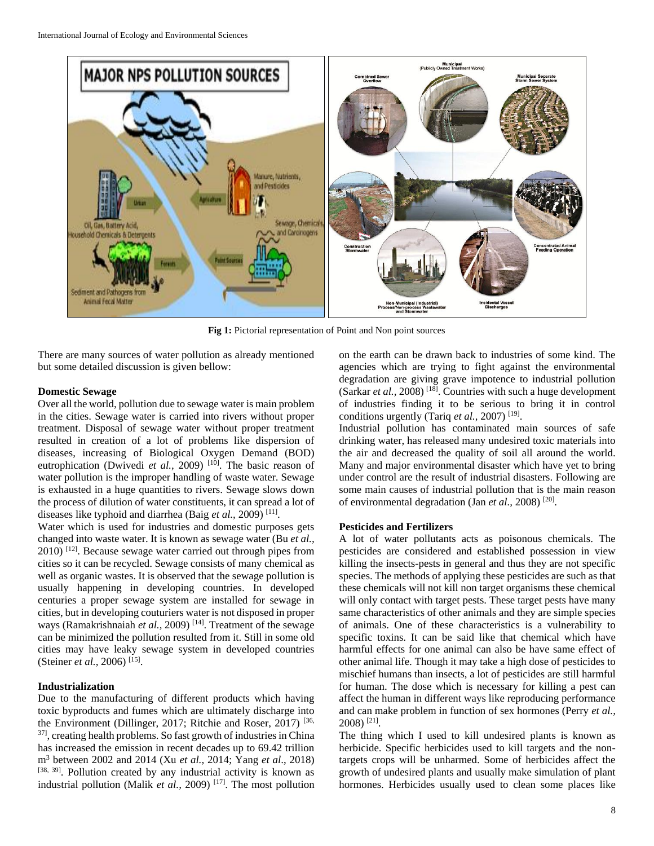

**Fig 1:** Pictorial representation of Point and Non point sources

There are many sources of water pollution as already mentioned but some detailed discussion is given bellow:

### **Domestic Sewage**

Over all the world, pollution due to sewage water is main problem in the cities. Sewage water is carried into rivers without proper treatment. Disposal of sewage water without proper treatment resulted in creation of a lot of problems like dispersion of diseases, increasing of Biological Oxygen Demand (BOD) eutrophication (Dwivedi *et al.*, 2009)<sup>[10]</sup>. The basic reason of water pollution is the improper handling of waste water. Sewage is exhausted in a huge quantities to rivers. Sewage slows down the process of dilution of water constituents, it can spread a lot of diseases like typhoid and diarrhea (Baig et al., 2009)<sup>[11]</sup>.

Water which is used for industries and domestic purposes gets changed into waste water. It is known as sewage water (Bu *et al.,* 2010) [12] . Because sewage water carried out through pipes from cities so it can be recycled. Sewage consists of many chemical as well as organic wastes. It is observed that the sewage pollution is usually happening in developing countries. In developed centuries a proper sewage system are installed for sewage in cities, but in developing couturiers water is not disposed in proper ways (Ramakrishnaiah *et al.,* 2009) [14]. Treatment of the sewage can be minimized the pollution resulted from it. Still in some old cities may have leaky sewage system in developed countries (Steiner *et al.*, 2006)<sup>[15]</sup>.

## **Industrialization**

Due to the manufacturing of different products which having toxic byproducts and fumes which are ultimately discharge into the Environment (Dillinger, 2017; Ritchie and Roser, 2017)<sup>[36,</sup> 37], creating health problems. So fast growth of industries in China has increased the emission in recent decades up to 69.42 trillion m<sup>3</sup> between 2002 and 2014 (Xu *et al.,* 2014; Yang *et al*., 2018) [38, 39]. Pollution created by any industrial activity is known as industrial pollution (Malik *et al.*, 2009)<sup>[17]</sup>. The most pollution on the earth can be drawn back to industries of some kind. The agencies which are trying to fight against the environmental degradation are giving grave impotence to industrial pollution (Sarkar *et al.*, 2008)<sup>[18]</sup>. Countries with such a huge development of industries finding it to be serious to bring it in control conditions urgently (Tariq *et al.*, 2007)<sup>[19]</sup>.

Industrial pollution has contaminated main sources of safe drinking water, has released many undesired toxic materials into the air and decreased the quality of soil all around the world. Many and major environmental disaster which have yet to bring under control are the result of industrial disasters. Following are some main causes of industrial pollution that is the main reason of environmental degradation (Jan *et al.*, 2008)<sup>[20]</sup>.

#### **Pesticides and Fertilizers**

A lot of water pollutants acts as poisonous chemicals. The pesticides are considered and established possession in view killing the insects-pests in general and thus they are not specific species. The methods of applying these pesticides are such as that these chemicals will not kill non target organisms these chemical will only contact with target pests. These target pests have many same characteristics of other animals and they are simple species of animals. One of these characteristics is a vulnerability to specific toxins. It can be said like that chemical which have harmful effects for one animal can also be have same effect of other animal life. Though it may take a high dose of pesticides to mischief humans than insects, a lot of pesticides are still harmful for human. The dose which is necessary for killing a pest can affect the human in different ways like reproducing performance and can make problem in function of sex hormones (Perry *et al.,* 2008) [21] .

The thing which I used to kill undesired plants is known as herbicide. Specific herbicides used to kill targets and the nontargets crops will be unharmed. Some of herbicides affect the growth of undesired plants and usually make simulation of plant hormones. Herbicides usually used to clean some places like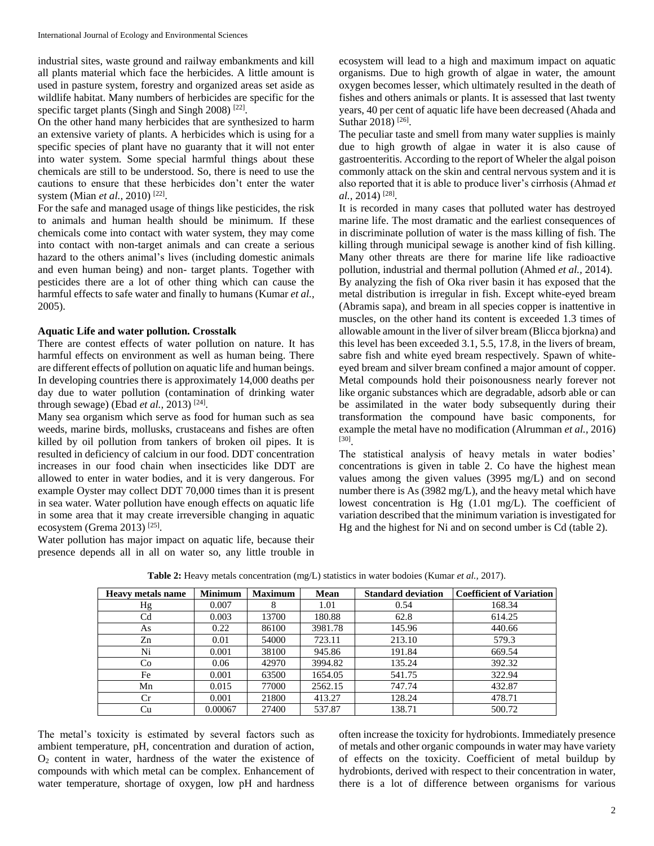industrial sites, waste ground and railway embankments and kill all plants material which face the herbicides. A little amount is used in pasture system, forestry and organized areas set aside as wildlife habitat. Many numbers of herbicides are specific for the specific target plants (Singh and Singh 2008)<sup>[22]</sup>.

On the other hand many herbicides that are synthesized to harm an extensive variety of plants. A herbicides which is using for a specific species of plant have no guaranty that it will not enter into water system. Some special harmful things about these chemicals are still to be understood. So, there is need to use the cautions to ensure that these herbicides don't enter the water system (Mian *et al.*, 2010)<sup>[22]</sup>.

For the safe and managed usage of things like pesticides, the risk to animals and human health should be minimum. If these chemicals come into contact with water system, they may come into contact with non-target animals and can create a serious hazard to the others animal's lives (including domestic animals and even human being) and non- target plants. Together with pesticides there are a lot of other thing which can cause the harmful effects to safe water and finally to humans (Kumar *et al.,* 2005).

## **Aquatic Life and water pollution. Crosstalk**

There are contest effects of water pollution on nature. It has harmful effects on environment as well as human being. There are different effects of pollution on aquatic life and human beings. In developing countries there is approximately 14,000 deaths per day due to water pollution (contamination of drinking water through sewage) (Ebad *et al.,* 2013) [24] .

Many sea organism which serve as food for human such as sea weeds, marine birds, mollusks, crustaceans and fishes are often killed by oil pollution from tankers of broken oil pipes. It is resulted in deficiency of calcium in our food. DDT concentration increases in our food chain when insecticides like DDT are allowed to enter in water bodies, and it is very dangerous. For example Oyster may collect DDT 70,000 times than it is present in sea water. Water pollution have enough effects on aquatic life in some area that it may create irreversible changing in aquatic ecosystem (Grema 2013)<sup>[25]</sup>.

Water pollution has major impact on aquatic life, because their presence depends all in all on water so, any little trouble in

ecosystem will lead to a high and maximum impact on aquatic organisms. Due to high growth of algae in water, the amount oxygen becomes lesser, which ultimately resulted in the death of fishes and others animals or plants. It is assessed that last twenty years, 40 per cent of aquatic life have been decreased (Ahada and Suthar 2018)<sup>[26]</sup>.

The peculiar taste and smell from many water supplies is mainly due to high growth of algae in water it is also cause of gastroenteritis. According to the report of Wheler the algal poison commonly attack on the skin and central nervous system and it is also reported that it is able to produce liver's cirrhosis (Ahmad *et al.,* 2014) [28] .

It is recorded in many cases that polluted water has destroyed marine life. The most dramatic and the earliest consequences of in discriminate pollution of water is the mass killing of fish. The killing through municipal sewage is another kind of fish killing. Many other threats are there for marine life like radioactive pollution, industrial and thermal pollution (Ahmed *et al.,* 2014). By analyzing the fish of Oka river basin it has exposed that the metal distribution is irregular in fish. Except white-eyed bream (Abramis sapa), and bream in all species copper is inattentive in muscles, on the other hand its content is exceeded 1.3 times of allowable amount in the liver of silver bream (Blicca bjorkna) and this level has been exceeded 3.1, 5.5, 17.8, in the livers of bream, sabre fish and white eyed bream respectively. Spawn of whiteeyed bream and silver bream confined a major amount of copper. Metal compounds hold their poisonousness nearly forever not like organic substances which are degradable, adsorb able or can be assimilated in the water body subsequently during their transformation the compound have basic components, for example the metal have no modification (Alrumman *et al.,* 2016) [30] .

The statistical analysis of heavy metals in water bodies' concentrations is given in table 2. Co have the highest mean values among the given values (3995 mg/L) and on second number there is As (3982 mg/L), and the heavy metal which have lowest concentration is Hg (1.01 mg/L). The coefficient of variation described that the minimum variation is investigated for Hg and the highest for Ni and on second umber is Cd (table 2).

| <b>Heavy metals name</b> | <b>Minimum</b> | <b>Maximum</b> | <b>Mean</b> | <b>Standard deviation</b> | <b>Coefficient of Variation</b> |
|--------------------------|----------------|----------------|-------------|---------------------------|---------------------------------|
| Hg                       | 0.007          | 8              | 1.01        | 0.54                      | 168.34                          |
| C <sub>d</sub>           | 0.003          | 13700          | 180.88      | 62.8                      | 614.25                          |
| As                       | 0.22           | 86100          | 3981.78     | 145.96                    | 440.66                          |
| Zn                       | 0.01           | 54000          | 723.11      | 213.10                    | 579.3                           |
| Ni                       | 0.001          | 38100          | 945.86      | 191.84                    | 669.54                          |
| Co                       | 0.06           | 42970          | 3994.82     | 135.24                    | 392.32                          |
| Fe                       | 0.001          | 63500          | 1654.05     | 541.75                    | 322.94                          |
| Mn                       | 0.015          | 77000          | 2562.15     | 747.74                    | 432.87                          |
| Cr                       | 0.001          | 21800          | 413.27      | 128.24                    | 478.71                          |
| Cu                       | 0.00067        | 27400          | 537.87      | 138.71                    | 500.72                          |

**Table 2:** Heavy metals concentration (mg/L) statistics in water bodoies (Kumar *et al.,* 2017).

The metal's toxicity is estimated by several factors such as ambient temperature, pH, concentration and duration of action,  $O<sub>2</sub>$  content in water, hardness of the water the existence of compounds with which metal can be complex. Enhancement of water temperature, shortage of oxygen, low pH and hardness often increase the toxicity for hydrobionts. Immediately presence of metals and other organic compounds in water may have variety of effects on the toxicity. Coefficient of metal buildup by hydrobionts, derived with respect to their concentration in water, there is a lot of difference between organisms for various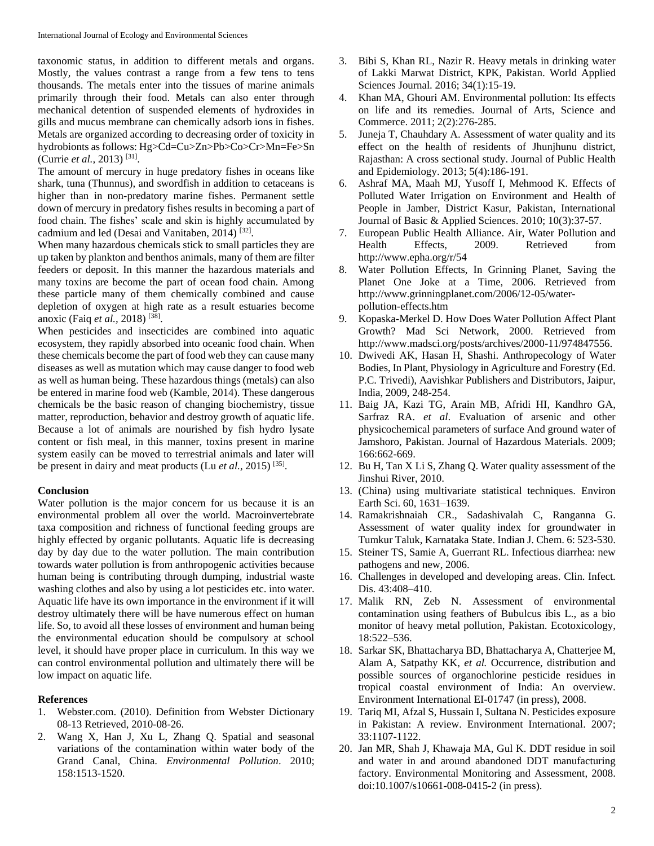taxonomic status, in addition to different metals and organs. Mostly, the values contrast a range from a few tens to tens thousands. The metals enter into the tissues of marine animals primarily through their food. Metals can also enter through mechanical detention of suspended elements of hydroxides in gills and mucus membrane can chemically adsorb ions in fishes. Metals are organized according to decreasing order of toxicity in hydrobionts as follows: Hg>Cd=Cu>Zn>Pb>Co>Cr>Mn=Fe>Sn (Currie *et al.*, 2013)<sup>[31]</sup>.

The amount of mercury in huge predatory fishes in oceans like shark, tuna (Thunnus), and swordfish in addition to cetaceans is higher than in non-predatory marine fishes. Permanent settle down of mercury in predatory fishes results in becoming a part of food chain. The fishes' scale and skin is highly accumulated by cadmium and led (Desai and Vanitaben, 2014)<sup>[32]</sup>.

When many hazardous chemicals stick to small particles they are up taken by plankton and benthos animals, many of them are filter feeders or deposit. In this manner the hazardous materials and many toxins are become the part of ocean food chain. Among these particle many of them chemically combined and cause depletion of oxygen at high rate as a result estuaries become anoxic (Faiq *et al.,* 2018) [38] .

When pesticides and insecticides are combined into aquatic ecosystem, they rapidly absorbed into oceanic food chain. When these chemicals become the part of food web they can cause many diseases as well as mutation which may cause danger to food web as well as human being. These hazardous things (metals) can also be entered in marine food web (Kamble, 2014). These dangerous chemicals be the basic reason of changing biochemistry, tissue matter, reproduction, behavior and destroy growth of aquatic life. Because a lot of animals are nourished by fish hydro lysate content or fish meal, in this manner, toxins present in marine system easily can be moved to terrestrial animals and later will be present in dairy and meat products (Lu *et al.*, 2015)<sup>[35]</sup>.

#### **Conclusion**

Water pollution is the major concern for us because it is an environmental problem all over the world. Macroinvertebrate taxa composition and richness of functional feeding groups are highly effected by organic pollutants. Aquatic life is decreasing day by day due to the water pollution. The main contribution towards water pollution is from anthropogenic activities because human being is contributing through dumping, industrial waste washing clothes and also by using a lot pesticides etc. into water. Aquatic life have its own importance in the environment if it will destroy ultimately there will be have numerous effect on human life. So, to avoid all these losses of environment and human being the environmental education should be compulsory at school level, it should have proper place in curriculum. In this way we can control environmental pollution and ultimately there will be low impact on aquatic life.

## **References**

- 1. Webster.com. (2010). Definition from Webster Dictionary 08-13 Retrieved, 2010-08-26.
- 2. Wang X, Han J, Xu L, Zhang Q. Spatial and seasonal variations of the contamination within water body of the Grand Canal, China. *Environmental Pollution*. 2010; 158:1513-1520.
- 3. Bibi S, Khan RL, Nazir R. Heavy metals in drinking water of Lakki Marwat District, KPK, Pakistan. World Applied Sciences Journal. 2016; 34(1):15-19.
- 4. Khan MA, Ghouri AM. Environmental pollution: Its effects on life and its remedies. Journal of Arts, Science and Commerce. 2011; 2(2):276-285.
- 5. Juneja T, Chauhdary A. Assessment of water quality and its effect on the health of residents of Jhunjhunu district, Rajasthan: A cross sectional study. Journal of Public Health and Epidemiology. 2013; 5(4):186-191.
- 6. Ashraf MA, Maah MJ, Yusoff I, Mehmood K. Effects of Polluted Water Irrigation on Environment and Health of People in Jamber, District Kasur, Pakistan, International Journal of Basic & Applied Sciences. 2010; 10(3):37-57.
- 7. European Public Health Alliance. Air, Water Pollution and Health Effects, 2009. Retrieved from http://www.epha.org/r/54
- 8. Water Pollution Effects, In Grinning Planet, Saving the Planet One Joke at a Time, 2006. Retrieved from http://www.grinningplanet.com/2006/12-05/waterpollution-effects.htm
- 9. Kopaska-Merkel D. How Does Water Pollution Affect Plant Growth? Mad Sci Network, 2000. Retrieved from http://www.madsci.org/posts/archives/2000-11/974847556.
- 10. Dwivedi AK, Hasan H, Shashi. Anthropecology of Water Bodies, In Plant, Physiology in Agriculture and Forestry (Ed. P.C. Trivedi), Aavishkar Publishers and Distributors, Jaipur, India, 2009, 248-254.
- 11. Baig JA, Kazi TG, Arain MB, Afridi HI, Kandhro GA, Sarfraz RA. *et al*. Evaluation of arsenic and other physicochemical parameters of surface And ground water of Jamshoro, Pakistan. Journal of Hazardous Materials. 2009; 166:662-669.
- 12. Bu H, Tan X Li S, Zhang Q. Water quality assessment of the Jinshui River, 2010.
- 13. (China) using multivariate statistical techniques. Environ Earth Sci. 60, 1631–1639.
- 14. Ramakrishnaiah CR., Sadashivalah C, Ranganna G. Assessment of water quality index for groundwater in Tumkur Taluk, Karnataka State. Indian J. Chem. 6: 523-530.
- 15. Steiner TS, Samie A, Guerrant RL. Infectious diarrhea: new pathogens and new, 2006.
- 16. Challenges in developed and developing areas. Clin. Infect. Dis. 43:408–410.
- 17. Malik RN, Zeb N. Assessment of environmental contamination using feathers of Bubulcus ibis L., as a bio monitor of heavy metal pollution, Pakistan. Ecotoxicology, 18:522–536.
- 18. Sarkar SK, Bhattacharya BD, Bhattacharya A, Chatterjee M, Alam A, Satpathy KK, *et al.* Occurrence, distribution and possible sources of organochlorine pesticide residues in tropical coastal environment of India: An overview. Environment International EI-01747 (in press), 2008.
- 19. Tariq MI, Afzal S, Hussain I, Sultana N. Pesticides exposure in Pakistan: A review. Environment International. 2007; 33:1107-1122.
- 20. Jan MR, Shah J, Khawaja MA, Gul K. DDT residue in soil and water in and around abandoned DDT manufacturing factory. Environmental Monitoring and Assessment, 2008. doi:10.1007/s10661-008-0415-2 (in press).